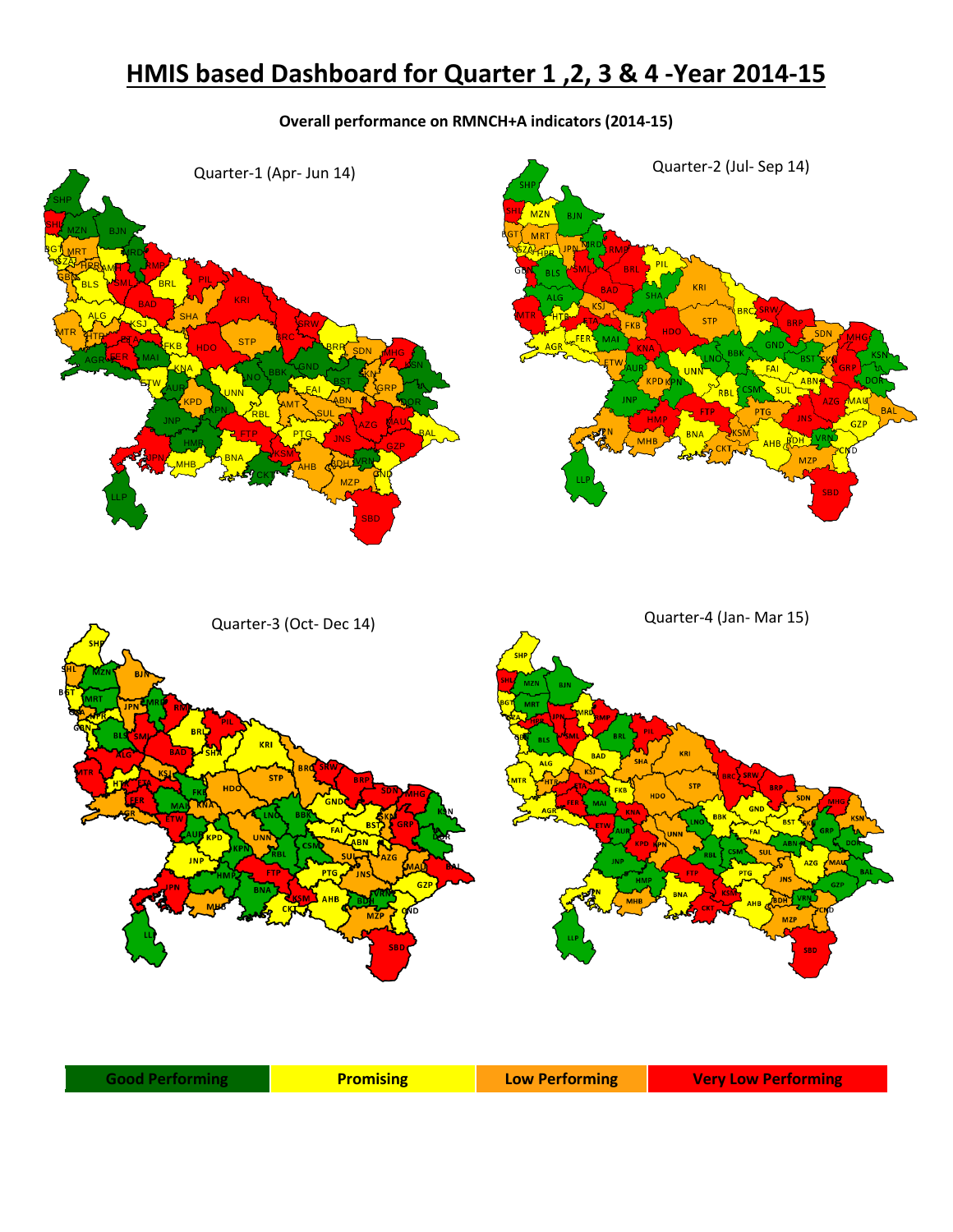## **HMIS based Dashboard for Quarter 1 ,2, 3 & 4 -Year 2014-15**

## **Overall performance on RMNCH+A indicators (2014-15)**

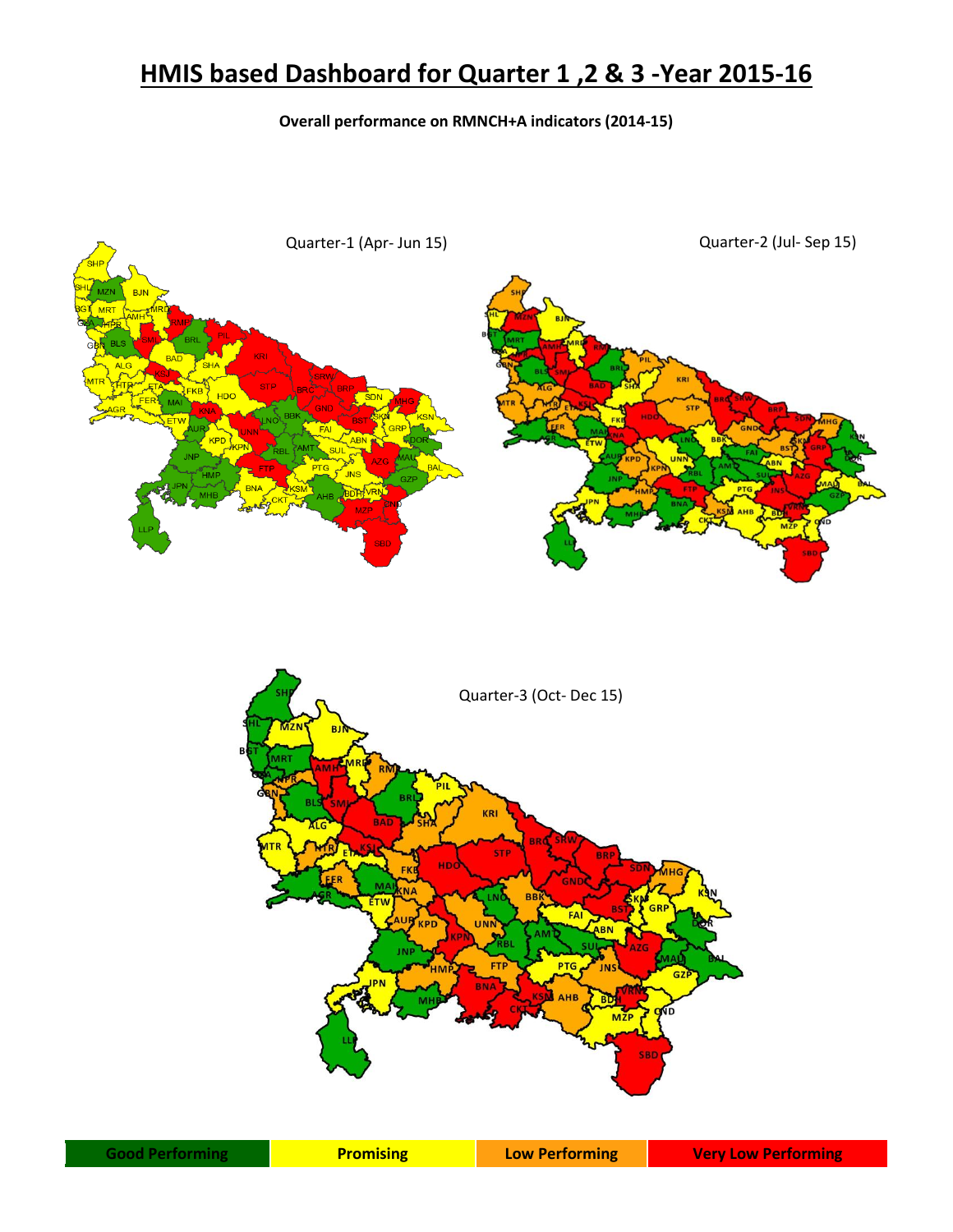## **HMIS based Dashboard for Quarter 1 ,2 & 3 -Year 2015-16**

## **Overall performance on RMNCH+A indicators (2014-15)**



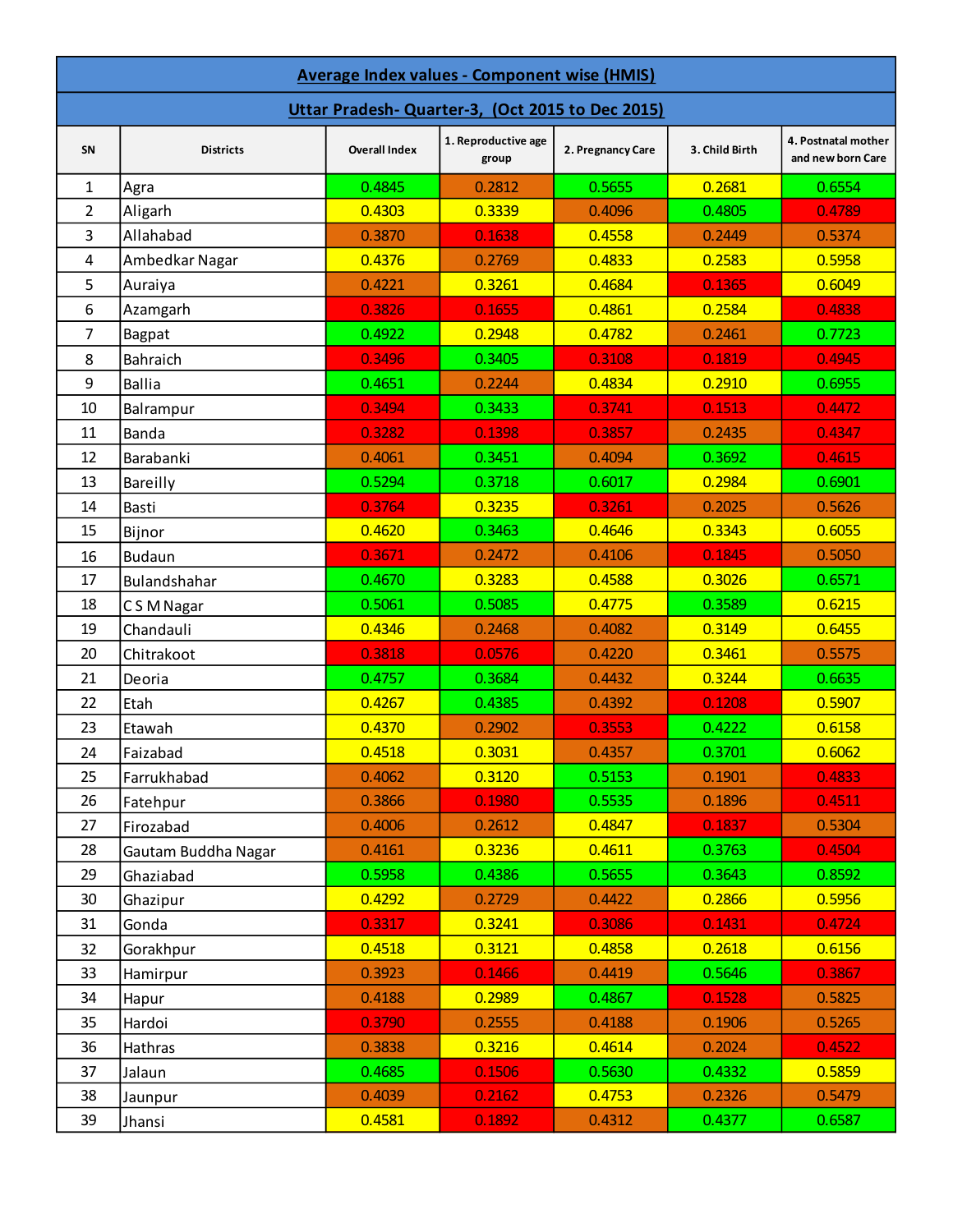| Average Index values - Component wise (HMIS)    |                     |                      |                              |                   |                |                                          |  |  |  |  |
|-------------------------------------------------|---------------------|----------------------|------------------------------|-------------------|----------------|------------------------------------------|--|--|--|--|
| Uttar Pradesh-Quarter-3, (Oct 2015 to Dec 2015) |                     |                      |                              |                   |                |                                          |  |  |  |  |
| SN                                              | <b>Districts</b>    | <b>Overall Index</b> | 1. Reproductive age<br>group | 2. Pregnancy Care | 3. Child Birth | 4. Postnatal mother<br>and new born Care |  |  |  |  |
| 1                                               | Agra                | 0.4845               | 0.2812                       | 0.5655            | 0.2681         | 0.6554                                   |  |  |  |  |
| $\overline{2}$                                  | Aligarh             | 0.4303               | 0.3339                       | 0.4096            | 0.4805         | 0.4789                                   |  |  |  |  |
| 3                                               | Allahabad           | 0.3870               | 0.1638                       | 0.4558            | 0.2449         | 0.5374                                   |  |  |  |  |
| 4                                               | Ambedkar Nagar      | 0.4376               | 0.2769                       | 0.4833            | 0.2583         | 0.5958                                   |  |  |  |  |
| 5                                               | Auraiya             | 0.4221               | 0.3261                       | 0.4684            | 0.1365         | 0.6049                                   |  |  |  |  |
| 6                                               | Azamgarh            | 0.3826               | 0.1655                       | 0.4861            | 0.2584         | 0.4838                                   |  |  |  |  |
| 7                                               | <b>Bagpat</b>       | 0.4922               | 0.2948                       | 0.4782            | 0.2461         | 0.7723                                   |  |  |  |  |
| 8                                               | Bahraich            | 0.3496               | 0.3405                       | 0.3108            | 0.1819         | 0.4945                                   |  |  |  |  |
| 9                                               | <b>Ballia</b>       | 0.4651               | 0.2244                       | 0.4834            | 0.2910         | 0.6955                                   |  |  |  |  |
| 10                                              | Balrampur           | 0.3494               | 0.3433                       | 0.3741            | 0.1513         | 0.4472                                   |  |  |  |  |
| 11                                              | Banda               | 0.3282               | 0.1398                       | 0.3857            | 0.2435         | 0.4347                                   |  |  |  |  |
| 12                                              | Barabanki           | 0.4061               | 0.3451                       | 0.4094            | 0.3692         | 0.4615                                   |  |  |  |  |
| 13                                              | Bareilly            | 0.5294               | 0.3718                       | 0.6017            | 0.2984         | 0.6901                                   |  |  |  |  |
| 14                                              | <b>Basti</b>        | 0.3764               | 0.3235                       | 0.3261            | 0.2025         | 0.5626                                   |  |  |  |  |
| 15                                              | Bijnor              | 0.4620               | 0.3463                       | 0.4646            | 0.3343         | 0.6055                                   |  |  |  |  |
| 16                                              | <b>Budaun</b>       | 0.3671               | 0.2472                       | 0.4106            | 0.1845         | 0.5050                                   |  |  |  |  |
| 17                                              | Bulandshahar        | 0.4670               | 0.3283                       | 0.4588            | 0.3026         | 0.6571                                   |  |  |  |  |
| 18                                              | C S M Nagar         | 0.5061               | 0.5085                       | 0.4775            | 0.3589         | 0.6215                                   |  |  |  |  |
| 19                                              | Chandauli           | 0.4346               | 0.2468                       | 0.4082            | 0.3149         | 0.6455                                   |  |  |  |  |
| 20                                              | Chitrakoot          | 0.3818               | 0.0576                       | 0.4220            | 0.3461         | 0.5575                                   |  |  |  |  |
| 21                                              | Deoria              | 0.4757               | 0.3684                       | 0.4432            | 0.3244         | 0.6635                                   |  |  |  |  |
| 22                                              | Etah                | 0.4267               | 0.4385                       | 0.4392            | 0.1208         | 0.5907                                   |  |  |  |  |
| 23                                              | Etawah              | 0.4370               | 0.2902                       | 0.3553            | 0.4222         | 0.6158                                   |  |  |  |  |
| 24                                              | Faizabad            | 0.4518               | 0.3031                       | 0.4357            | 0.3701         | 0.6062                                   |  |  |  |  |
| 25                                              | Farrukhabad         | 0.4062               | 0.3120                       | 0.5153            | 0.1901         | 0.4833                                   |  |  |  |  |
| 26                                              | Fatehpur            | 0.3866               | 0.1980                       | 0.5535            | 0.1896         | 0.4511                                   |  |  |  |  |
| 27                                              | Firozabad           | 0.4006               | 0.2612                       | 0.4847            | 0.1837         | 0.5304                                   |  |  |  |  |
| 28                                              | Gautam Buddha Nagar | 0.4161               | 0.3236                       | 0.4611            | 0.3763         | 0.4504                                   |  |  |  |  |
| 29                                              | Ghaziabad           | 0.5958               | 0.4386                       | 0.5655            | 0.3643         | 0.8592                                   |  |  |  |  |
| 30                                              | Ghazipur            | 0.4292               | 0.2729                       | 0.4422            | 0.2866         | 0.5956                                   |  |  |  |  |
| 31                                              | Gonda               | 0.3317               | 0.3241                       | 0.3086            | 0.1431         | 0.4724                                   |  |  |  |  |
| 32                                              | Gorakhpur           | 0.4518               | 0.3121                       | 0.4858            | 0.2618         | 0.6156                                   |  |  |  |  |
| 33                                              | Hamirpur            | 0.3923               | 0.1466                       | 0.4419            | 0.5646         | 0.3867                                   |  |  |  |  |
| 34                                              | Hapur               | 0.4188               | 0.2989                       | 0.4867            | 0.1528         | 0.5825                                   |  |  |  |  |
| 35                                              | Hardoi              | 0.3790               | 0.2555                       | 0.4188            | 0.1906         | 0.5265                                   |  |  |  |  |
| 36                                              | Hathras             | 0.3838               | 0.3216                       | 0.4614            | 0.2024         | 0.4522                                   |  |  |  |  |
| 37                                              | Jalaun              | 0.4685               | 0.1506                       | 0.5630            | 0.4332         | 0.5859                                   |  |  |  |  |
| 38                                              | Jaunpur             | 0.4039               | 0.2162                       | 0.4753            | 0.2326         | 0.5479                                   |  |  |  |  |
| 39                                              | Jhansi              | 0.4581               | 0.1892                       | 0.4312            | 0.4377         | 0.6587                                   |  |  |  |  |